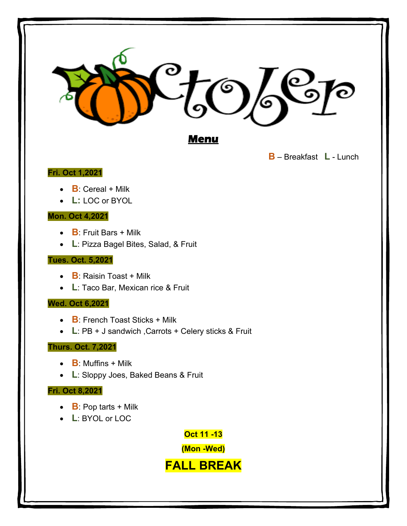

**B** – Breakfast **L** - Lunch

# **Fri. Oct 1,2021**

- **B**: Cereal + Milk
- **L:** LOC or BYOL

#### **Mon. Oct 4,2021**

- **B**: Fruit Bars + Milk
- **L**: Pizza Bagel Bites, Salad, & Fruit

#### **Tues. Oct. 5,2021**

- **B**: Raisin Toast + Milk
- **L**: Taco Bar, Mexican rice & Fruit

## **Wed. Oct 6,2021**

- **B**: French Toast Sticks + Milk
- **L**: PB + J sandwich ,Carrots + Celery sticks & Fruit

## **Thurs. Oct. 7,2021**

- **B**: Muffins + Milk
- **L**: Sloppy Joes, Baked Beans & Fruit

## **Fri. Oct 8,2021**

- **B**: Pop tarts + Milk
- **L**: BYOL or LOC

**Oct 11 -13**

**(Mon -Wed)**

**FALL BREAK**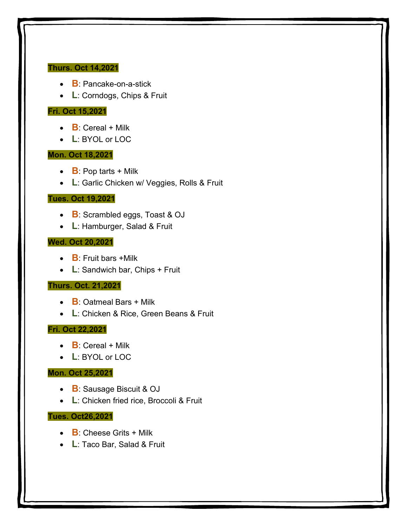#### **Thurs. Oct 14,2021**

- **B**: Pancake-on-a-stick
- **L**: Corndogs, Chips & Fruit

## **Fri. Oct 15,2021**

- $\bullet$  **B**: Cereal + Milk
- **L**: BYOL or LOC

#### **Mon. Oct 18,2021**

- **B**: Pop tarts + Milk
- **L**: Garlic Chicken w/ Veggies, Rolls & Fruit

#### **Tues. Oct 19,2021**

- **B**: Scrambled eggs, Toast & OJ
- **L**: Hamburger, Salad & Fruit

#### **Wed. Oct 20,2021**

- **B**: Fruit bars +Milk
- **L**: Sandwich bar, Chips + Fruit

#### **Thurs. Oct. 21,2021**

- **B**: Oatmeal Bars + Milk
- **L**: Chicken & Rice, Green Beans & Fruit

#### **Fri. Oct 22,2021**

- **B**: Cereal + Milk
- **L**: BYOL or LOC

#### **Mon. Oct 25,2021**

- **B**: Sausage Biscuit & OJ
- **L**: Chicken fried rice, Broccoli & Fruit

#### **Tues. Oct26,2021**

- **B**: Cheese Grits + Milk
- **L**: Taco Bar, Salad & Fruit